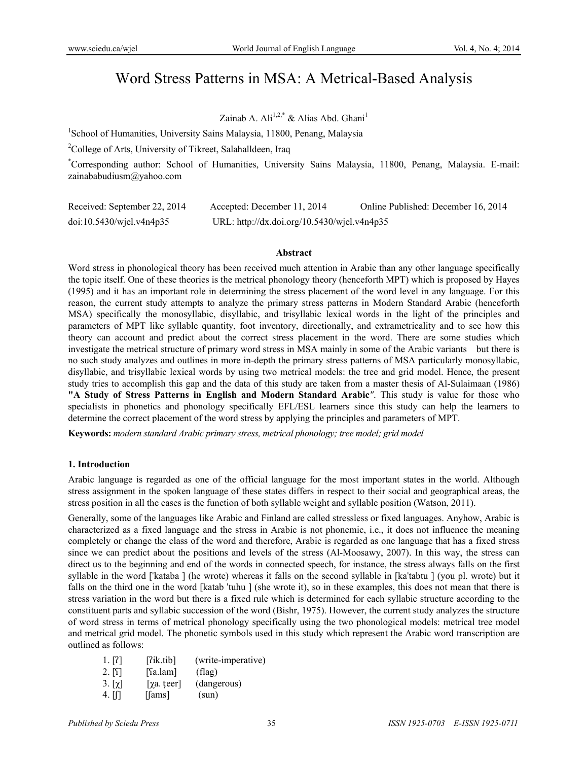# Word Stress Patterns in MSA: A Metrical-Based Analysis

# Zainab A. Ali<sup>1,2,\*</sup> & Alias Abd. Ghani<sup>1</sup>

<sup>1</sup>School of Humanities, University Sains Malaysia, 11800, Penang, Malaysia

<sup>2</sup>College of Arts, University of Tikreet, Salahalldeen, Iraq

\* Corresponding author: School of Humanities, University Sains Malaysia, 11800, Penang, Malaysia. E-mail: zainababudiusm@yahoo.com

| Received: September 22, 2014 | Accepted: December 11, 2014                 | Online Published: December 16, 2014 |
|------------------------------|---------------------------------------------|-------------------------------------|
| $doi:10.5430/w$ jel.v4n4p35  | URL: http://dx.doi.org/10.5430/wjel.v4n4p35 |                                     |

#### **Abstract**

Word stress in phonological theory has been received much attention in Arabic than any other language specifically the topic itself. One of these theories is the metrical phonology theory (henceforth MPT) which is proposed by Hayes (1995) and it has an important role in determining the stress placement of the word level in any language. For this reason, the current study attempts to analyze the primary stress patterns in Modern Standard Arabic (henceforth MSA) specifically the monosyllabic, disyllabic, and trisyllabic lexical words in the light of the principles and parameters of MPT like syllable quantity, foot inventory, directionally, and extrametricality and to see how this theory can account and predict about the correct stress placement in the word. There are some studies which investigate the metrical structure of primary word stress in MSA mainly in some of the Arabic variants but there is no such study analyzes and outlines in more in-depth the primary stress patterns of MSA particularly monosyllabic, disyllabic, and trisyllabic lexical words by using two metrical models: the tree and grid model. Hence, the present study tries to accomplish this gap and the data of this study are taken from a master thesis of Al-Sulaimaan (1986) **"A Study of Stress Patterns in English and Modern Standard Arabic***"*. This study is value for those who specialists in phonetics and phonology specifically EFL/ESL learners since this study can help the learners to determine the correct placement of the word stress by applying the principles and parameters of MPT.

**Keywords:** *modern standard Arabic primary stress, metrical phonology; tree model; grid model* 

# **1. Introduction**

Arabic language is regarded as one of the official language for the most important states in the world. Although stress assignment in the spoken language of these states differs in respect to their social and geographical areas, the stress position in all the cases is the function of both syllable weight and syllable position (Watson, 2011).

Generally, some of the languages like Arabic and Finland are called stressless or fixed languages. Anyhow, Arabic is characterized as a fixed language and the stress in Arabic is not phonemic, i.e., it does not influence the meaning completely or change the class of the word and therefore, Arabic is regarded as one language that has a fixed stress since we can predict about the positions and levels of the stress (Al-Moosawy, 2007). In this way, the stress can direct us to the beginning and end of the words in connected speech, for instance, the stress always falls on the first syllable in the word [ˈkataba ] (he wrote) whereas it falls on the second syllable in [kaˈtabtu ] (you pl. wrote) but it falls on the third one in the word [katab 'tuhu ] (she wrote it), so in these examples, this does not mean that there is stress variation in the word but there is a fixed rule which is determined for each syllabic structure according to the constituent parts and syllabic succession of the word (Bishr, 1975). However, the current study analyzes the structure of word stress in terms of metrical phonology specifically using the two phonological models: metrical tree model and metrical grid model. The phonetic symbols used in this study which represent the Arabic word transcription are outlined as follows:

| 1. [7]      | [7ik.tib]                | (write-imperative) |
|-------------|--------------------------|--------------------|
| 2. [S]      | $\lceil$ sa.lam $\rceil$ | $_{\rm (flag)}$    |
| $3. [\chi]$ | $[\chi a. \text{teer}]$  | (dangerous)        |
| 4. M        | $\lceil$ [ams]           | (sun)              |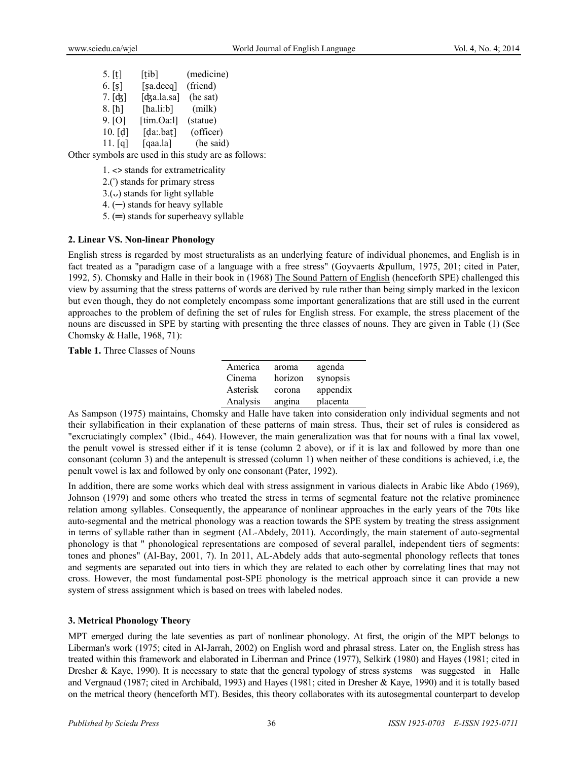| $5.$ [t]   | $\lceil$ tib]         | (medicine) |
|------------|-----------------------|------------|
| 6. [s]     | [sa.deeq]             | (friend)   |
| $7. [d_5]$ | [dʒa.la.sa]           | (he sat)   |
| $8.$ [ħ]   | [ $\hbar$ a.li: $b$ ] | (milk)     |
| 9. [0]     | [tim. $\Theta$ a:l]   | (statue)   |
| 10. [d]    | [da:bat]              | (officer)  |
| 11. [q]    | [qaa.la]              | (he said)  |

Other symbols are used in this study are as follows:

1. ˂> stands for extrametricality

2.(ˈ) stands for primary stress

 $3.(\circ)$  stands for light syllable

4. (─) stands for heavy syllable

5. (═) stands for superheavy syllable

# **2. Linear VS. Non-linear Phonology**

English stress is regarded by most structuralists as an underlying feature of individual phonemes, and English is in fact treated as a "paradigm case of a language with a free stress" (Goyvaerts &pullum, 1975, 201; cited in Pater, 1992, 5). Chomsky and Halle in their book in (1968) The Sound Pattern of English (henceforth SPE) challenged this view by assuming that the stress patterns of words are derived by rule rather than being simply marked in the lexicon but even though, they do not completely encompass some important generalizations that are still used in the current approaches to the problem of defining the set of rules for English stress. For example, the stress placement of the nouns are discussed in SPE by starting with presenting the three classes of nouns. They are given in Table (1) (See Chomsky & Halle, 1968, 71):

**Table 1.** Three Classes of Nouns

| America  | aroma   | agenda   |
|----------|---------|----------|
| Cinema   | horizon | synopsis |
| Asterisk | corona  | appendix |
| Analysis | angina  | placenta |

As Sampson (1975) maintains, Chomsky and Halle have taken into consideration only individual segments and not their syllabification in their explanation of these patterns of main stress. Thus, their set of rules is considered as "excruciatingly complex" (Ibid., 464). However, the main generalization was that for nouns with a final lax vowel, the penult vowel is stressed either if it is tense (column 2 above), or if it is lax and followed by more than one consonant (column 3) and the antepenult is stressed (column 1) when neither of these conditions is achieved, i.e, the penult vowel is lax and followed by only one consonant (Pater, 1992).

In addition, there are some works which deal with stress assignment in various dialects in Arabic like Abdo (1969), Johnson (1979) and some others who treated the stress in terms of segmental feature not the relative prominence relation among syllables. Consequently, the appearance of nonlinear approaches in the early years of the 70ts like auto-segmental and the metrical phonology was a reaction towards the SPE system by treating the stress assignment in terms of syllable rather than in segment (AL-Abdely, 2011). Accordingly, the main statement of auto-segmental phonology is that " phonological representations are composed of several parallel, independent tiers of segments: tones and phones" (Al-Bay, 2001, 7). In 2011, AL-Abdely adds that auto-segmental phonology reflects that tones and segments are separated out into tiers in which they are related to each other by correlating lines that may not cross. However, the most fundamental post-SPE phonology is the metrical approach since it can provide a new system of stress assignment which is based on trees with labeled nodes.

# **3. Metrical Phonology Theory**

MPT emerged during the late seventies as part of nonlinear phonology. At first, the origin of the MPT belongs to Liberman's work (1975; cited in Al-Jarrah, 2002) on English word and phrasal stress. Later on, the English stress has treated within this framework and elaborated in Liberman and Prince (1977), Selkirk (1980) and Hayes (1981; cited in Dresher & Kaye, 1990). It is necessary to state that the general typology of stress systems was suggested in Halle and Vergnaud (1987; cited in Archibald, 1993) and Hayes (1981; cited in Dresher & Kaye, 1990) and it is totally based on the metrical theory (henceforth MT). Besides, this theory collaborates with its autosegmental counterpart to develop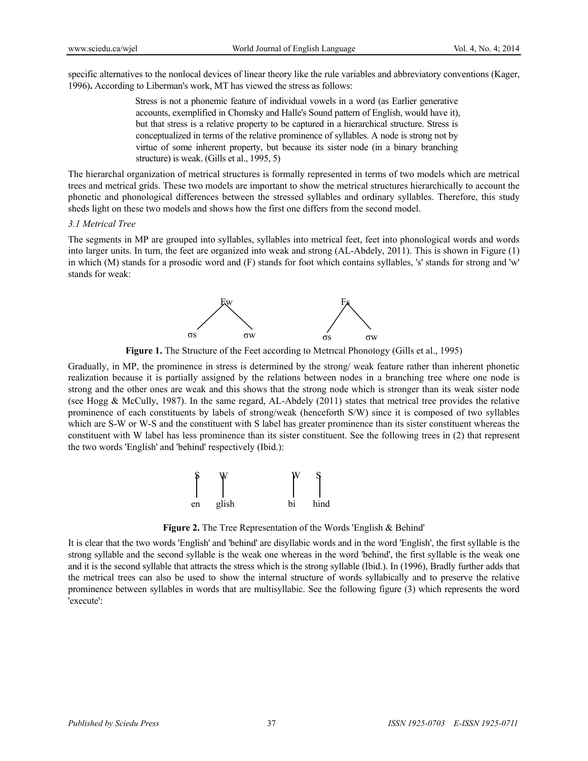specific alternatives to the nonlocal devices of linear theory like the rule variables and abbreviatory conventions (Kager, 1996)**.** According to Liberman's work, MT has viewed the stress as follows:

> Stress is not a phonemic feature of individual vowels in a word (as Earlier generative accounts, exemplified in Chomsky and Halle's Sound pattern of English, would have it), but that stress is a relative property to be captured in a hierarchical structure. Stress is conceptualized in terms of the relative prominence of syllables. A node is strong not by virtue of some inherent property, but because its sister node (in a binary branching structure) is weak. (Gills et al., 1995, 5)

The hierarchal organization of metrical structures is formally represented in terms of two models which are metrical trees and metrical grids. These two models are important to show the metrical structures hierarchically to account the phonetic and phonological differences between the stressed syllables and ordinary syllables. Therefore, this study sheds light on these two models and shows how the first one differs from the second model.

#### *3.1 Metrical Tree*

The segments in MP are grouped into syllables, syllables into metrical feet, feet into phonological words and words into larger units. In turn, the feet are organized into weak and strong (AL-Abdely, 2011). This is shown in Figure (1) in which (M) stands for a prosodic word and (F) stands for foot which contains syllables, 's' stands for strong and 'w' stands for weak:



**Figure 1.** The Structure of the Feet according to Metrical Phonology (Gills et al., 1995)

Gradually, in MP, the prominence in stress is determined by the strong/ weak feature rather than inherent phonetic realization because it is partially assigned by the relations between nodes in a branching tree where one node is strong and the other ones are weak and this shows that the strong node which is stronger than its weak sister node (see Hogg & McCully, 1987). In the same regard, AL-Abdely (2011) states that metrical tree provides the relative prominence of each constituents by labels of strong/weak (henceforth S/W) since it is composed of two syllables which are S-W or W-S and the constituent with S label has greater prominence than its sister constituent whereas the constituent with W label has less prominence than its sister constituent. See the following trees in (2) that represent the two words 'English' and 'behind' respectively (Ibid.):



**Figure 2.** The Tree Representation of the Words 'English & Behind'

It is clear that the two words 'English' and 'behind' are disyllabic words and in the word 'English', the first syllable is the strong syllable and the second syllable is the weak one whereas in the word 'behind', the first syllable is the weak one and it is the second syllable that attracts the stress which is the strong syllable (Ibid.). In (1996), Bradly further adds that the metrical trees can also be used to show the internal structure of words syllabically and to preserve the relative prominence between syllables in words that are multisyllabic. See the following figure (3) which represents the word 'execute':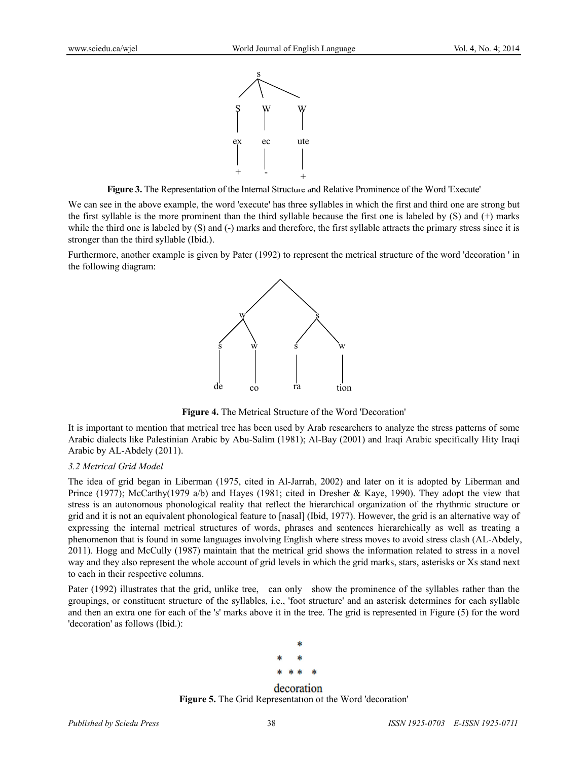

**Figure 3.** The Representation of the Internal Structure and Relative Prominence of the Word 'Execute'

We can see in the above example, the word 'execute' has three syllables in which the first and third one are strong but the first syllable is the more prominent than the third syllable because the first one is labeled by (S) and (+) marks while the third one is labeled by (S) and (-) marks and therefore, the first syllable attracts the primary stress since it is stronger than the third syllable (Ibid.).

Furthermore, another example is given by Pater (1992) to represent the metrical structure of the word 'decoration ' in the following diagram:



**Figure 4.** The Metrical Structure of the Word 'Decoration'

It is important to mention that metrical tree has been used by Arab researchers to analyze the stress patterns of some Arabic dialects like Palestinian Arabic by Abu-Salim (1981); Al-Bay (2001) and Iraqi Arabic specifically Hity Iraqi Arabic by AL-Abdely (2011).

# *3.2 Metrical Grid Model*

The idea of grid began in Liberman (1975, cited in Al-Jarrah, 2002) and later on it is adopted by Liberman and Prince (1977); McCarthy(1979 a/b) and Hayes (1981; cited in Dresher & Kaye, 1990). They adopt the view that stress is an autonomous phonological reality that reflect the hierarchical organization of the rhythmic structure or grid and it is not an equivalent phonological feature to [nasal] (Ibid, 1977). However, the grid is an alternative way of expressing the internal metrical structures of words, phrases and sentences hierarchically as well as treating a phenomenon that is found in some languages involving English where stress moves to avoid stress clash (AL-Abdely, 2011). Hogg and McCully (1987) maintain that the metrical grid shows the information related to stress in a novel way and they also represent the whole account of grid levels in which the grid marks, stars, asterisks or Xs stand next to each in their respective columns.

Pater (1992) illustrates that the grid, unlike tree, can only show the prominence of the syllables rather than the groupings, or constituent structure of the syllables, i.e., 'foot structure' and an asterisk determines for each syllable and then an extra one for each of the 's' marks above it in the tree. The grid is represented in Figure (5) for the word 'decoration' as follows (Ibid.):



decoration **Figure 5.** The Grid Representation of the Word 'decoration'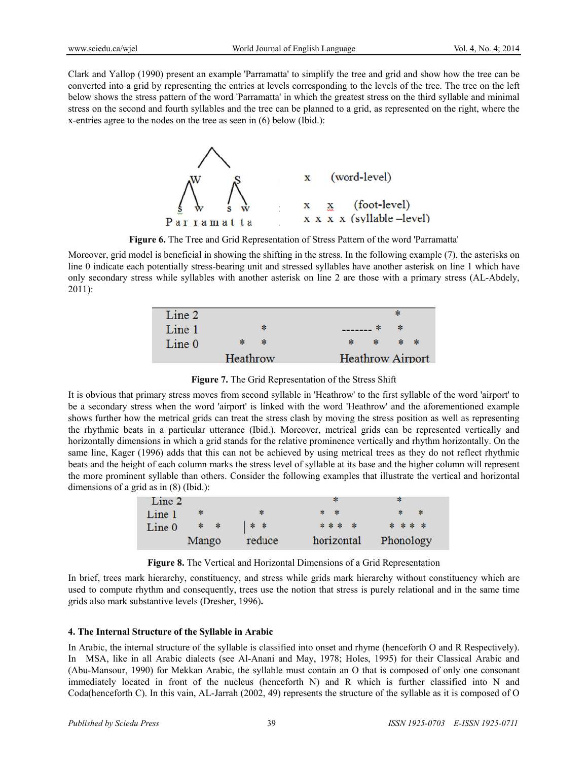Clark and Yallop (1990) present an example 'Parramatta' to simplify the tree and grid and show how the tree can be converted into a grid by representing the entries at levels corresponding to the levels of the tree. The tree on the left below shows the stress pattern of the word 'Parramatta' in which the greatest stress on the third syllable and minimal stress on the second and fourth syllables and the tree can be planned to a grid, as represented on the right, where the x-entries agree to the nodes on the tree as seen in (6) below (Ibid.):



**Figure 6.** The Tree and Grid Representation of Stress Pattern of the word 'Parramatta'

Moreover, grid model is beneficial in showing the shifting in the stress. In the following example (7), the asterisks on line 0 indicate each potentially stress-bearing unit and stressed syllables have another asterisk on line 1 which have only secondary stress while syllables with another asterisk on line 2 are those with a primary stress (AL-Abdely, 2011):

| Line 2 |          |    |    |    |                         |
|--------|----------|----|----|----|-------------------------|
| Line 1 |          | ж. |    | -* |                         |
| Line 0 |          | -* | ×. |    | * *                     |
|        | Heathrow |    |    |    | <b>Heathrow Airport</b> |

**Figure 7.** The Grid Representation of the Stress Shift

It is obvious that primary stress moves from second syllable in 'Heathrow' to the first syllable of the word 'airport' to be a secondary stress when the word 'airport' is linked with the word 'Heathrow' and the aforementioned example shows further how the metrical grids can treat the stress clash by moving the stress position as well as representing the rhythmic beats in a particular utterance (Ibid.). Moreover, metrical grids can be represented vertically and horizontally dimensions in which a grid stands for the relative prominence vertically and rhythm horizontally. On the same line, Kager (1996) adds that this can not be achieved by using metrical trees as they do not reflect rhythmic beats and the height of each column marks the stress level of syllable at its base and the higher column will represent the more prominent syllable than others. Consider the following examples that illustrate the vertical and horizontal dimensions of a grid as in (8) (Ibid.):

| Line 2            |       |        | ж.         | ×         |
|-------------------|-------|--------|------------|-----------|
| Line <sub>1</sub> | *     | -8     | * *        | * *       |
| Line 0            | $*$ * | * *    | * * * *    | * * * *   |
|                   | Mango | reduce | horizontal | Phonology |

**Figure 8.** The Vertical and Horizontal Dimensions of a Grid Representation

In brief, trees mark hierarchy, constituency, and stress while grids mark hierarchy without constituency which are used to compute rhythm and consequently, trees use the notion that stress is purely relational and in the same time grids also mark substantive levels (Dresher, 1996)**.** 

# **4. The Internal Structure of the Syllable in Arabic**

In Arabic, the internal structure of the syllable is classified into onset and rhyme (henceforth O and R Respectively). In MSA, like in all Arabic dialects (see Al-Anani and May, 1978; Holes, 1995) for their Classical Arabic and (Abu-Mansour, 1990) for Mekkan Arabic, the syllable must contain an O that is composed of only one consonant immediately located in front of the nucleus (henceforth N) and R which is further classified into N and Coda(henceforth C). In this vain, AL-Jarrah (2002, 49) represents the structure of the syllable as it is composed of O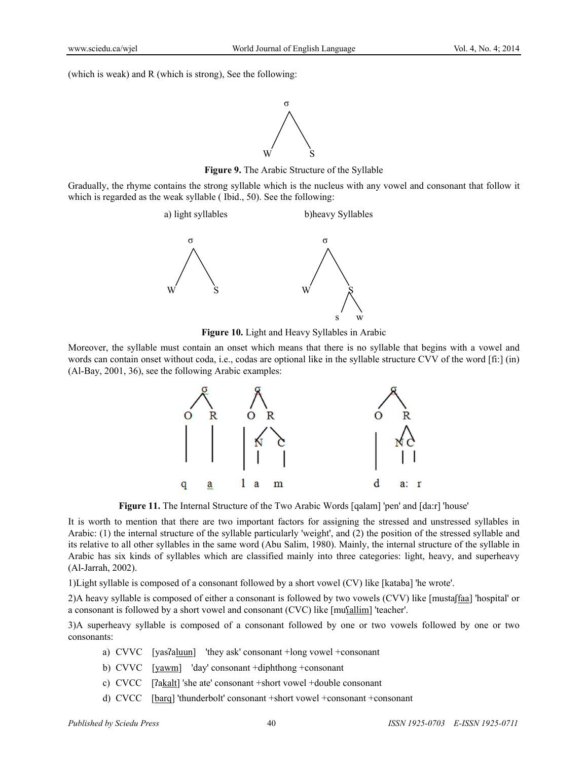(which is weak) and R (which is strong), See the following:



**Figure 9.** The Arabic Structure of the Syllable

Gradually, the rhyme contains the strong syllable which is the nucleus with any vowel and consonant that follow it which is regarded as the weak syllable ( Ibid., 50). See the following:



**Figure 10.** Light and Heavy Syllables in Arabic

Moreover, the syllable must contain an onset which means that there is no syllable that begins with a vowel and words can contain onset without coda, i.e., codas are optional like in the syllable structure CVV of the word [fi:] (in) (Al-Bay, 2001, 36), see the following Arabic examples:



**Figure 11.** The Internal Structure of the Two Arabic Words [qalam] 'pen' and [da:r] 'house'

It is worth to mention that there are two important factors for assigning the stressed and unstressed syllables in Arabic: (1) the internal structure of the syllable particularly 'weight', and (2) the position of the stressed syllable and its relative to all other syllables in the same word (Abu Salim, 1980). Mainly, the internal structure of the syllable in Arabic has six kinds of syllables which are classified mainly into three categories: light, heavy, and superheavy (Al-Jarrah, 2002).

1)Light syllable is composed of a consonant followed by a short vowel (CV) like [kataba] 'he wrote'.

2)A heavy syllable is composed of either a consonant is followed by two vowels (CVV) like [mustaʃfaa] 'hospital' or a consonant is followed by a short vowel and consonant (CVC) like  $[mu$  $[allow]$  'teacher'.

3)A superheavy syllable is composed of a consonant followed by one or two vowels followed by one or two consonants:

- a) CVVC [yasʔaluun] 'they ask' consonant +long vowel +consonant
- b) CVVC [yawm] 'day' consonant +diphthong +consonant
- c) CVCC [ʔakalt] 'she ate' consonant +short vowel +double consonant
- d) CVCC [barq] 'thunderbolt' consonant +short vowel +consonant +consonant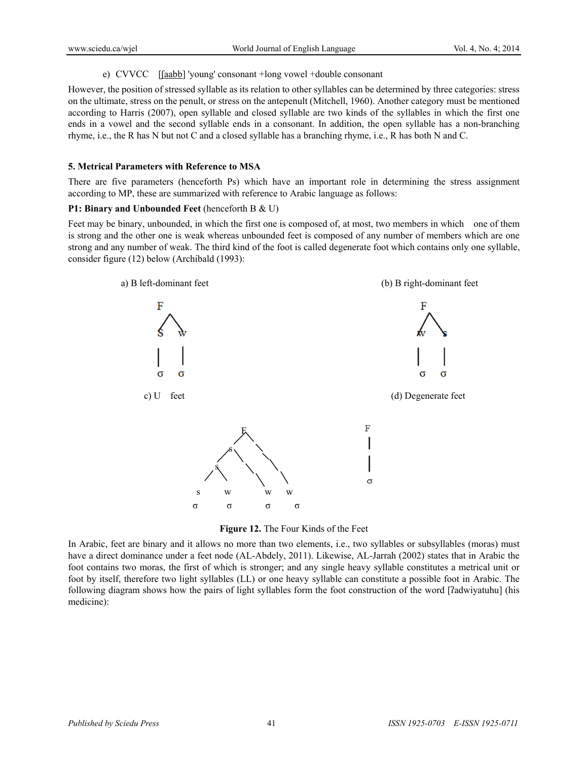# e) CVVCC [[aabb] 'young' consonant +long vowel +double consonant

However, the position of stressed syllable as its relation to other syllables can be determined by three categories: stress on the ultimate, stress on the penult, or stress on the antepenult (Mitchell, 1960). Another category must be mentioned according to Harris (2007), open syllable and closed syllable are two kinds of the syllables in which the first one ends in a vowel and the second syllable ends in a consonant. In addition, the open syllable has a non-branching rhyme, i.e., the R has N but not C and a closed syllable has a branching rhyme, i.e., R has both N and C.

# **5. Metrical Parameters with Reference to MSA**

There are five parameters (henceforth Ps) which have an important role in determining the stress assignment according to MP, these are summarized with reference to Arabic language as follows:

# **P1: Binary and Unbounded Feet** (henceforth B & U)

Feet may be binary, unbounded, in which the first one is composed of, at most, two members in which one of them is strong and the other one is weak whereas unbounded feet is composed of any number of members which are one strong and any number of weak. The third kind of the foot is called degenerate foot which contains only one syllable, consider figure (12) below (Archibald (1993):



**Figure 12.** The Four Kinds of the Feet

In Arabic, feet are binary and it allows no more than two elements, i.e., two syllables or subsyllables (moras) must have a direct dominance under a feet node (AL-Abdely, 2011). Likewise, AL-Jarrah (2002) states that in Arabic the foot contains two moras, the first of which is stronger; and any single heavy syllable constitutes a metrical unit or foot by itself, therefore two light syllables (LL) or one heavy syllable can constitute a possible foot in Arabic. The following diagram shows how the pairs of light syllables form the foot construction of the word [ʔadwiyatuhu] (his medicine):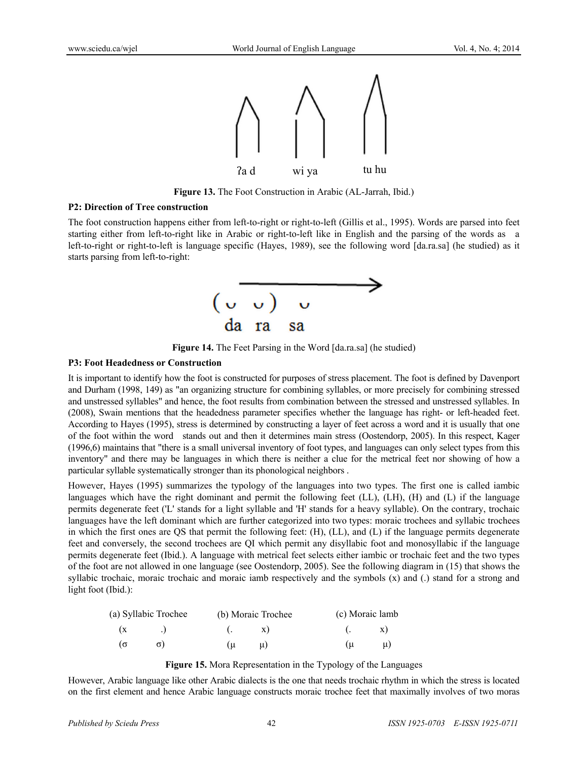

**Figure 13.** The Foot Construction in Arabic (AL-Jarrah, Ibid.)

#### **P2: Direction of Tree construction**

The foot construction happens either from left-to-right or right-to-left (Gillis et al., 1995). Words are parsed into feet starting either from left-to-right like in Arabic or right-to-left like in English and the parsing of the words as a left-to-right or right-to-left is language specific (Hayes, 1989), see the following word [da.ra.sa] (he studied) as it starts parsing from left-to-right:



**Figure 14.** The Feet Parsing in the Word [da.ra.sa] (he studied)

#### **P3: Foot Headedness or Construction**

It is important to identify how the foot is constructed for purposes of stress placement. The foot is defined by Davenport and Durham (1998, 149) as "an organizing structure for combining syllables, or more precisely for combining stressed and unstressed syllables" and hence, the foot results from combination between the stressed and unstressed syllables. In (2008), Swain mentions that the headedness parameter specifies whether the language has right- or left-headed feet. According to Hayes (1995), stress is determined by constructing a layer of feet across a word and it is usually that one of the foot within the word stands out and then it determines main stress (Oostendorp, 2005). In this respect, Kager (1996,6) maintains that "there is a small universal inventory of foot types, and languages can only select types from this inventory" and there may be languages in which there is neither a clue for the metrical feet nor showing of how a particular syllable systematically stronger than its phonological neighbors .

However, Hayes (1995) summarizes the typology of the languages into two types. The first one is called iambic languages which have the right dominant and permit the following feet (LL), (LH), (H) and (L) if the language permits degenerate feet ('L' stands for a light syllable and 'H' stands for a heavy syllable). On the contrary, trochaic languages have the left dominant which are further categorized into two types: moraic trochees and syllabic trochees in which the first ones are QS that permit the following feet: (H), (LL), and (L) if the language permits degenerate feet and conversely, the second trochees are QI which permit any disyllabic foot and monosyllabic if the language permits degenerate feet (Ibid.). A language with metrical feet selects either iambic or trochaic feet and the two types of the foot are not allowed in one language (see Oostendorp, 2005). See the following diagram in (15) that shows the syllabic trochaic, moraic trochaic and moraic iamb respectively and the symbols (x) and (.) stand for a strong and light foot (Ibid.):

|          | (a) Syllabic Trochee | (b) Moraic Trochee |  | (c) Moraic lamb |  |  |
|----------|----------------------|--------------------|--|-----------------|--|--|
| (x       |                      | $(x - x)$          |  | $(x - x)$       |  |  |
| $\sigma$ |                      | $(u \quad u)$      |  | $(\mu$ $\mu)$   |  |  |

**Figure 15.** Mora Representation in the Typology of the Languages

However, Arabic language like other Arabic dialects is the one that needs trochaic rhythm in which the stress is located on the first element and hence Arabic language constructs moraic trochee feet that maximally involves of two moras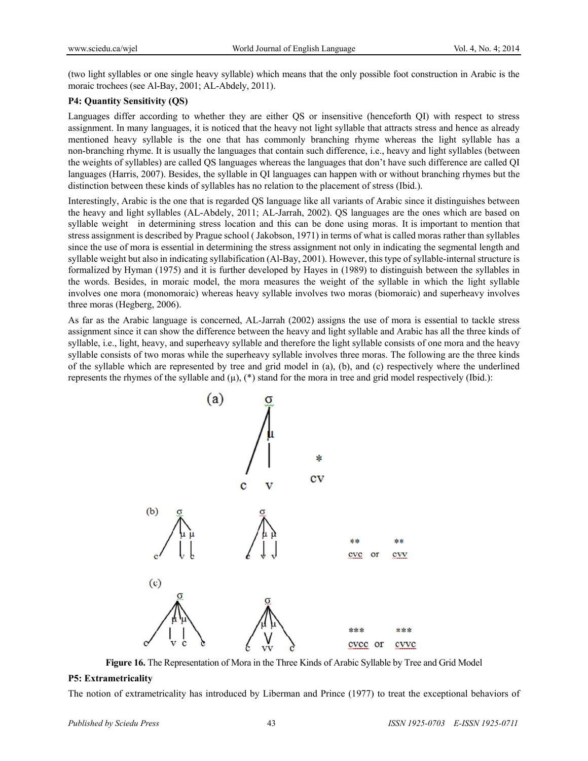(two light syllables or one single heavy syllable) which means that the only possible foot construction in Arabic is the moraic trochees (see Al-Bay, 2001; AL-Abdely, 2011).

#### **P4: Quantity Sensitivity (QS)**

Languages differ according to whether they are either QS or insensitive (henceforth QI) with respect to stress assignment. In many languages, it is noticed that the heavy not light syllable that attracts stress and hence as already mentioned heavy syllable is the one that has commonly branching rhyme whereas the light syllable has a non-branching rhyme. It is usually the languages that contain such difference, i.e., heavy and light syllables (between the weights of syllables) are called QS languages whereas the languages that don't have such difference are called QI languages (Harris, 2007). Besides, the syllable in QI languages can happen with or without branching rhymes but the distinction between these kinds of syllables has no relation to the placement of stress (Ibid.).

Interestingly, Arabic is the one that is regarded QS language like all variants of Arabic since it distinguishes between the heavy and light syllables (AL-Abdely, 2011; AL-Jarrah, 2002). QS languages are the ones which are based on syllable weight in determining stress location and this can be done using moras. It is important to mention that stress assignment is described by Prague school ( Jakobson, 1971) in terms of what is called moras rather than syllables since the use of mora is essential in determining the stress assignment not only in indicating the segmental length and syllable weight but also in indicating syllabification (Al-Bay, 2001). However, this type of syllable-internal structure is formalized by Hyman (1975) and it is further developed by Hayes in (1989) to distinguish between the syllables in the words. Besides, in moraic model, the mora measures the weight of the syllable in which the light syllable involves one mora (monomoraic) whereas heavy syllable involves two moras (biomoraic) and superheavy involves three moras (Hegberg, 2006).

As far as the Arabic language is concerned, AL-Jarrah (2002) assigns the use of mora is essential to tackle stress assignment since it can show the difference between the heavy and light syllable and Arabic has all the three kinds of syllable, i.e., light, heavy, and superheavy syllable and therefore the light syllable consists of one mora and the heavy syllable consists of two moras while the superheavy syllable involves three moras. The following are the three kinds of the syllable which are represented by tree and grid model in (a), (b), and (c) respectively where the underlined represents the rhymes of the syllable and  $(\mu)$ , (\*) stand for the mora in tree and grid model respectively (Ibid.):



**Figure 16.** The Representation of Mora in the Three Kinds of Arabic Syllable by Tree and Grid Model

#### **P5: Extrametricality**

The notion of extrametricality has introduced by Liberman and Prince (1977) to treat the exceptional behaviors of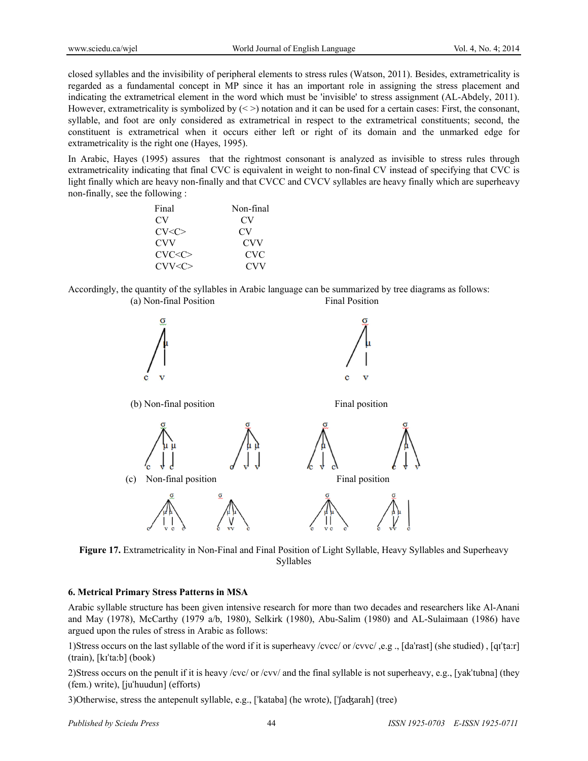closed syllables and the invisibility of peripheral elements to stress rules (Watson, 2011). Besides, extrametricality is regarded as a fundamental concept in MP since it has an important role in assigning the stress placement and indicating the extrametrical element in the word which must be 'invisible' to stress assignment (AL-Abdely, 2011). However, extrametricality is symbolized by  $(\leq)$  notation and it can be used for a certain cases: First, the consonant, syllable, and foot are only considered as extrametrical in respect to the extrametrical constituents; second, the constituent is extrametrical when it occurs either left or right of its domain and the unmarked edge for extrametricality is the right one (Hayes, 1995).

In Arabic, Hayes (1995) assures that the rightmost consonant is analyzed as invisible to stress rules through extrametricality indicating that final CVC is equivalent in weight to non-final CV instead of specifying that CVC is light finally which are heavy non-finally and that CVCC and CVCV syllables are heavy finally which are superheavy non-finally, see the following :

| Final           | Non-final  |
|-----------------|------------|
| CV <sub>1</sub> | CV         |
| CV < C          | CV         |
| <b>CVV</b>      | <b>CVV</b> |
| CVC < C         | <b>CVC</b> |
| CVV < C         | <b>CVV</b> |

Accordingly, the quantity of the syllables in Arabic language can be summarized by tree diagrams as follows: (a) Non-final Position Final Position



**Figure 17.** Extrametricality in Non-Final and Final Position of Light Syllable, Heavy Syllables and Superheavy Syllables

# **6. Metrical Primary Stress Patterns in MSA**

Arabic syllable structure has been given intensive research for more than two decades and researchers like Al-Anani and May (1978), McCarthy (1979 a/b, 1980), Selkirk (1980), Abu-Salim (1980) and AL-Sulaimaan (1986) have argued upon the rules of stress in Arabic as follows:

1)Stress occurs on the last syllable of the word if it is superheavy /cvcc/ or /cvvc/ ,e.g ., [daˈrast] (she studied) , [qɪˈṭa:r] (train), [kɪˈta:b] (book)

2)Stress occurs on the penult if it is heavy /cvc/ or /cvv/ and the final syllable is not superheavy, e.g., [yakˈtubna] (they (fem.) write), [juˈhuudun] (efforts)

3)Otherwise, stress the antepenult syllable, e.g., [ˈkataba] (he wrote), [ˈʃaʤarah] (tree)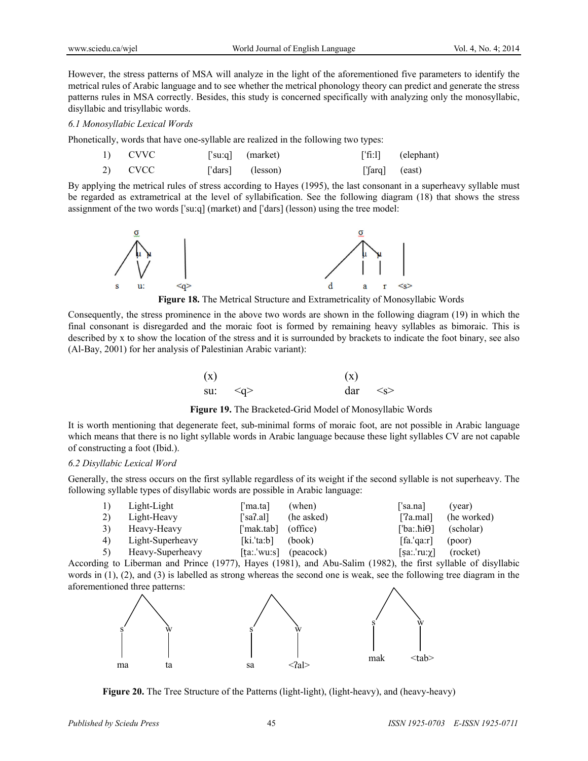However, the stress patterns of MSA will analyze in the light of the aforementioned five parameters to identify the metrical rules of Arabic language and to see whether the metrical phonology theory can predict and generate the stress patterns rules in MSA correctly. Besides, this study is concerned specifically with analyzing only the monosyllabic, disyllabic and trisyllabic words.

#### *6.1 Monosyllabic Lexical Words*

Phonetically, words that have one-syllable are realized in the following two types:

| 1) CVVC | ['su:q] $(market)$ |                       | $[\text{`fi:}1]$ (elephant) |
|---------|--------------------|-----------------------|-----------------------------|
| 2) CVCC | ['dars] (lesson)   | $[\text{arg}]$ (east) |                             |

By applying the metrical rules of stress according to Hayes (1995), the last consonant in a superheavy syllable must be regarded as extrametrical at the level of syllabification. See the following diagram (18) that shows the stress assignment of the two words [ˈsu:q] (market) and [ˈdars] (lesson) using the tree model:



**Figure 18.** The Metrical Structure and Extrametricality of Monosyllabic Words

Consequently, the stress prominence in the above two words are shown in the following diagram (19) in which the final consonant is disregarded and the moraic foot is formed by remaining heavy syllables as bimoraic. This is described by x to show the location of the stress and it is surrounded by brackets to indicate the foot binary, see also (Al-Bay, 2001) for her analysis of Palestinian Arabic variant):

| (x) |                         | (x) |              |
|-----|-------------------------|-----|--------------|
|     | su: $\langle q \rangle$ |     | $dar \leq s$ |

**Figure 19.** The Bracketed-Grid Model of Monosyllabic Words

It is worth mentioning that degenerate feet, sub-minimal forms of moraic foot, are not possible in Arabic language which means that there is no light syllable words in Arabic language because these light syllables CV are not capable of constructing a foot (Ibid.).

#### *6.2 Disyllabic Lexical Word*

Generally, the stress occurs on the first syllable regardless of its weight if the second syllable is not superheavy. The following syllable types of disyllabic words are possible in Arabic language:

| <sup>1</sup> | Light-Light      | f'ma.ta]                | (when)     | 'sa.na]                             | (year)                                  |
|--------------|------------------|-------------------------|------------|-------------------------------------|-----------------------------------------|
| 2)           | Light-Heavy      | [ˈsaʔ.al]               | (he asked) | $[$ '?a.mal]                        | (he worked)                             |
| <sup>3</sup> | Heavy-Heavy      | ['mak.tab] (office)     |            | $[$ ba:hi $\Theta$ ]                | (scholar)                               |
| 4)           | Light-Superheavy | $[ki].$ 'ta:b]          | (book)     | [fa, 'qa:r]                         | (poor)                                  |
| 5)           | Heavy-Superheavy | $[ta::'wu:s]$ (peacock) |            | $[sa::ru:\chi]$                     | (rocket)                                |
|              | $\cdots$         | (10.7)                  | (1001)     | $\sim$ $\cdot$<br>$(1000)$ $(1000)$ | $\mathbf{11}$ $\mathbf{1}$ $\mathbf{1}$ |

According to Liberman and Prince (1977), Hayes (1981), and Abu-Salim (1982), the first syllable of disyllabic words in (1), (2), and (3) is labelled as strong whereas the second one is weak, see the following tree diagram in the aforementioned three patterns:



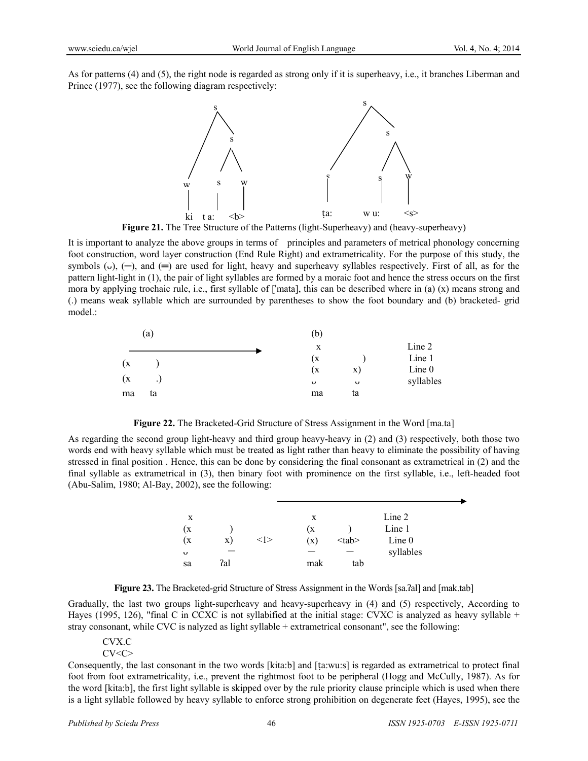As for patterns (4) and (5), the right node is regarded as strong only if it is superheavy, i.e., it branches Liberman and Prince (1977), see the following diagram respectively:



**Figure 21.** The Tree Structure of the Patterns (light-Superheavy) and (heavy-superheavy)

It is important to analyze the above groups in terms of principles and parameters of metrical phonology concerning foot construction, word layer construction (End Rule Right) and extrametricality. For the purpose of this study, the symbols ( $\circ$ ), (-), and (=) are used for light, heavy and superheavy syllables respectively. First of all, as for the pattern light-light in (1), the pair of light syllables are formed by a moraic foot and hence the stress occurs on the first mora by applying trochaic rule, i.e., first syllable of ['mata], this can be described where in (a)  $(x)$  means strong and (.) means weak syllable which are surrounded by parentheses to show the foot boundary and (b) bracketed- grid model.:

|     | (a)       | (b)      |           |
|-----|-----------|----------|-----------|
|     |           | X        | Line 2    |
| (x) |           | (x)      | Line 1    |
|     |           | (x<br>X) | Line 0    |
| (x) | $\cdot$ . | U<br>U   | syllables |
| ma  | ta        | ta<br>ma |           |

**Figure 22.** The Bracketed-Grid Structure of Stress Assignment in the Word [ma.ta]

As regarding the second group light-heavy and third group heavy-heavy in (2) and (3) respectively, both those two words end with heavy syllable which must be treated as light rather than heavy to eliminate the possibility of having stressed in final position . Hence, this can be done by considering the final consonant as extrametrical in (2) and the final syllable as extrametrical in (3), then binary foot with prominence on the first syllable, i.e., left-headed foot (Abu-Salim, 1980; Al-Bay, 2002), see the following:

| X  |     |       | X   |             | Line 2    |  |
|----|-----|-------|-----|-------------|-----------|--|
| (x |     |       | (X  |             | Line 1    |  |
| (X | X)  | < l > | (x) | $<$ tab $>$ | Line 0    |  |
| U  |     |       |     |             | syllables |  |
| sa | ?al |       | mak | tab         |           |  |

**Figure 23.** The Bracketed-grid Structure of Stress Assignment in the Words [sa.ʔal] and [mak.tab]

Gradually, the last two groups light-superheavy and heavy-superheavy in (4) and (5) respectively, According to Hayes (1995, 126), "final C in CCXC is not syllabified at the initial stage: CVXC is analyzed as heavy syllable + stray consonant, while CVC is nalyzed as light syllable + extrametrical consonant", see the following:

# CVX.C

 $CV < C$ 

Consequently, the last consonant in the two words [kita:b] and [ṭa:wu:s] is regarded as extrametrical to protect final foot from foot extrametricality, i.e., prevent the rightmost foot to be peripheral (Hogg and McCully, 1987). As for the word [kita:b], the first light syllable is skipped over by the rule priority clause principle which is used when there is a light syllable followed by heavy syllable to enforce strong prohibition on degenerate feet (Hayes, 1995), see the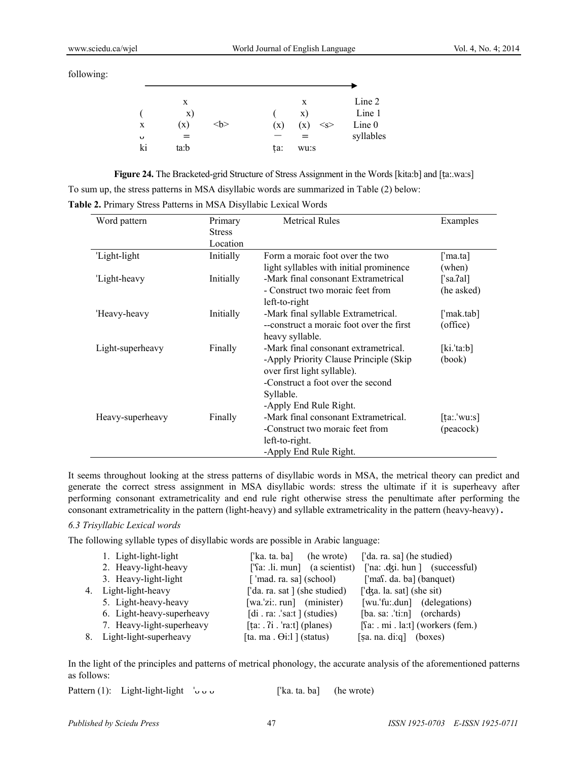following:

|    | X    |   |     | X             | Line 2    |
|----|------|---|-----|---------------|-----------|
|    | X)   |   |     | X)            | Line 1    |
| X  | (x)  | > | (x) | (x)<br>$<_S>$ | Line 0    |
| U  | $=$  |   |     | $=$           | syllables |
| ki | ta:b |   | ta: | wu:s          |           |

**Figure 24.** The Bracketed-grid Structure of Stress Assignment in the Words [kita:b] and [ṭa:.wa:s] To sum up, the stress patterns in MSA disyllabic words are summarized in Table (2) below:

**Table 2.** Primary Stress Patterns in MSA Disyllabic Lexical Words

| Word pattern     | Primary       | <b>Metrical Rules</b>                     | Examples    |
|------------------|---------------|-------------------------------------------|-------------|
|                  | <b>Stress</b> |                                           |             |
|                  | Location      |                                           |             |
| 'Light-light     | Initially     | Form a moraic foot over the two           | [ˈma.ta]    |
|                  |               | light syllables with initial prominence   | (when)      |
| 'Light-heavy     | Initially     | -Mark final consonant Extrametrical       | [ˈsa.ʔal]   |
|                  |               | - Construct two moraic feet from          | (he asked)  |
|                  |               | left-to-right                             |             |
| 'Heavy-heavy     | Initially     | -Mark final syllable Extrametrical.       | [ˈmak.tab]  |
|                  |               | -- construct a moraic foot over the first | (office)    |
|                  |               | heavy syllable.                           |             |
| Light-superheavy | Finally       | -Mark final consonant extrametrical.      | [ki.'ta:b]  |
|                  |               | -Apply Priority Clause Principle (Skip)   | (book)      |
|                  |               | over first light syllable).               |             |
|                  |               | -Construct a foot over the second         |             |
|                  |               | Syllable.                                 |             |
|                  |               | -Apply End Rule Right.                    |             |
| Heavy-superheavy | Finally       | -Mark final consonant Extrametrical.      | [ta:.'wu:s] |
|                  |               | -Construct two moraic feet from           | (peacock)   |
|                  |               | left-to-right.                            |             |
|                  |               | -Apply End Rule Right.                    |             |

It seems throughout looking at the stress patterns of disyllabic words in MSA, the metrical theory can predict and generate the correct stress assignment in MSA disyllabic words: stress the ultimate if it is superheavy after performing consonant extrametricality and end rule right otherwise stress the penultimate after performing the consonant extrametricality in the pattern (light-heavy) and syllable extrametricality in the pattern (heavy-heavy) **.** 

# *6.3 Trisyllabic Lexical words*

The following syllable types of disyllabic words are possible in Arabic language:

|    | 1. Light-light-light      | ['ka. ta. ba] (he wrote)                                | ['da. ra. sa] (he studied)                                                 |
|----|---------------------------|---------------------------------------------------------|----------------------------------------------------------------------------|
|    | 2. Heavy-light-heavy      | $[\text{Ta:} \ldots \text{In} \text{un}]$ (a scientist) | ['na: .dʒi. hun ] (successful)                                             |
|    | 3. Heavy-light-light      | [ $'$ mad. ra. sa] (school)                             | ['mas. da. ba] (banquet)                                                   |
| 4. | Light-light-heavy         | ['da. ra. sat ] (she studied)                           | $\lceil d \, \text{a} \rceil$ a. sat $\lceil \, \text{b} \rceil$ (she sit) |
|    | 5. Light-heavy-heavy      | $[wa$ 'zi: run] (minister)                              | [wu.'fu:.dun] (delegations)                                                |
|    | 6. Light-heavy-superheavy | [di. ra: $.\text{sat}$ ] (studies)                      | $[ba. sa: 'ti:n]$ (orchards)                                               |
|    | 7. Heavy-light-superheavy |                                                         | [Sa: . mi . la:t] (workers (fem.)                                          |
| 8. | Light-light-superheavy    | [ta. ma. $\Theta$ i:l ] (status)                        | [sa. na. di:q] (boxes)                                                     |

In the light of the principles and patterns of metrical phonology, the accurate analysis of the aforementioned patterns as follows:

| Pattern (1): Light-light-light $\cup \cup$ |  | ['ka. ta. ba] (he wrote) |  |
|--------------------------------------------|--|--------------------------|--|
|--------------------------------------------|--|--------------------------|--|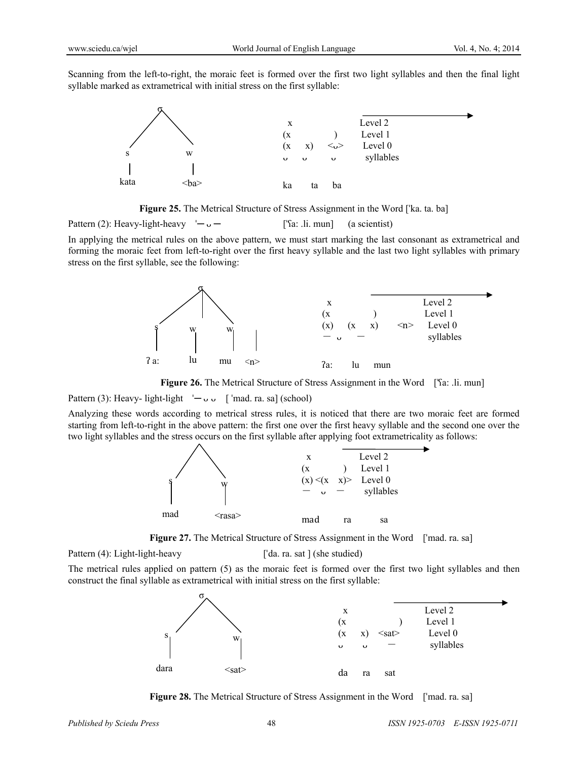Scanning from the left-to-right, the moraic feet is formed over the first two light syllables and then the final light syllable marked as extrametrical with initial stress on the first syllable:



Figure 25. The Metrical Structure of Stress Assignment in the Word ['ka. ta. ba]

Pattern (2): Heavy-light-heavy  $-\frac{1}{2}$   $-\frac{1}{2}$  ['sa: .li. mun] (a scientist)

In applying the metrical rules on the above pattern, we must start marking the last consonant as extrametrical and forming the moraic feet from left-to-right over the first heavy syllable and the last two light syllables with primary stress on the first syllable, see the following:



**Figure 26.** The Metrical Structure of Stress Assignment in the Word ['fa: .li. mun]

Pattern (3): Heavy- light-light  $\vdash \circ \circ$  [ 'mad. ra. sa] (school)

Analyzing these words according to metrical stress rules, it is noticed that there are two moraic feet are formed starting from left-to-right in the above pattern: the first one over the first heavy syllable and the second one over the two light syllables and the stress occurs on the first syllable after applying foot extrametricality as follows:



Figure 27. The Metrical Structure of Stress Assignment in the Word ['mad. ra. sa]

Pattern (4): Light-light-heavy ['da. ra. sat ] (she studied)

The metrical rules applied on pattern (5) as the moraic feet is formed over the first two light syllables and then construct the final syllable as extrametrical with initial stress on the first syllable:



**Figure 28.** The Metrical Structure of Stress Assignment in the Word ['mad. ra. sa]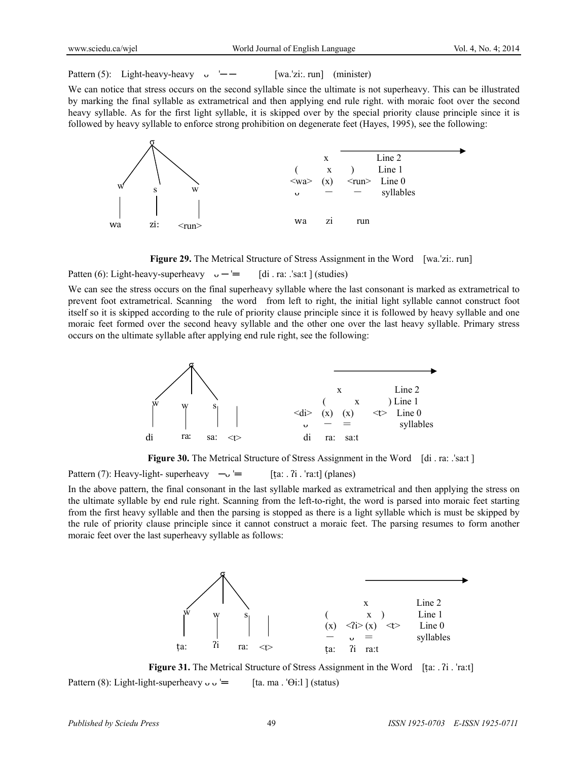Pattern (5): Light-heavy-heavy  $\cup$  ' $\leftarrow$  [wa.'zi:. run] (minister)

We can notice that stress occurs on the second syllable since the ultimate is not superheavy. This can be illustrated by marking the final syllable as extrametrical and then applying end rule right. with moraic foot over the second heavy syllable. As for the first light syllable, it is skipped over by the special priority clause principle since it is followed by heavy syllable to enforce strong prohibition on degenerate feet (Hayes, 1995), see the following:



**Figure 29.** The Metrical Structure of Stress Assignment in the Word [wa.'zi:. run]

Patten (6): Light-heavy-superheavy  $\cup$  —  $=$  [di . ra: .'sa:t ] (studies)

We can see the stress occurs on the final superheavy syllable where the last consonant is marked as extrametrical to prevent foot extrametrical. Scanning the word from left to right, the initial light syllable cannot construct foot itself so it is skipped according to the rule of priority clause principle since it is followed by heavy syllable and one moraic feet formed over the second heavy syllable and the other one over the last heavy syllable. Primary stress occurs on the ultimate syllable after applying end rule right, see the following:



**Figure 30.** The Metrical Structure of Stress Assignment in the Word [di . ra: .<sup>'s</sup>a:t]

Pattern (7): Heavy-light- superheavy  $-\sqrt{ } =$  [ta: . ?i . 'ra:t] (planes)

In the above pattern, the final consonant in the last syllable marked as extrametrical and then applying the stress on the ultimate syllable by end rule right. Scanning from the left-to-right, the word is parsed into moraic feet starting from the first heavy syllable and then the parsing is stopped as there is a light syllable which is must be skipped by the rule of priority clause principle since it cannot construct a moraic feet. The parsing resumes to form another moraic feet over the last superheavy syllable as follows:



**Figure 31.** The Metrical Structure of Stress Assignment in the Word [ta: . ʔi . ˈraːt] Pattern (8): Light-light-superheavy  $\cup \cup =$  [ta. ma. ' $\Theta$ i:l ] (status)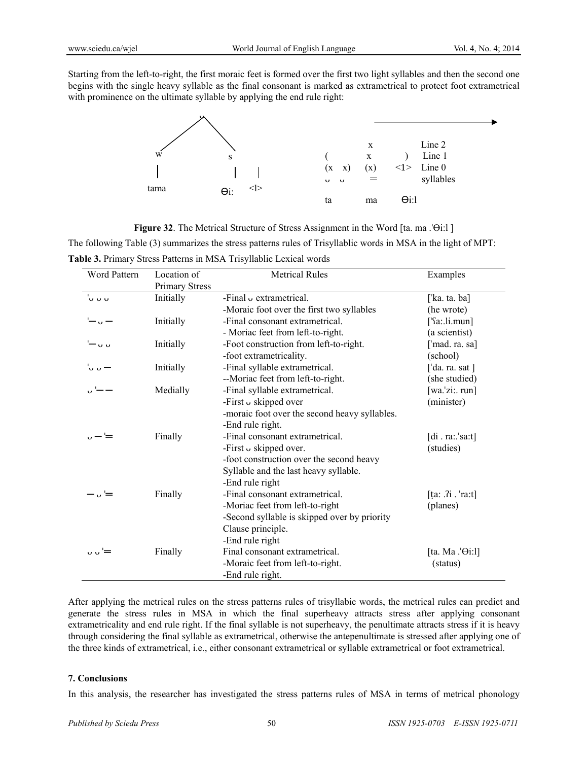Starting from the left-to-right, the first moraic feet is formed over the first two light syllables and then the second one begins with the single heavy syllable as the final consonant is marked as extrametrical to protect foot extrametrical with prominence on the ultimate syllable by applying the end rule right:



**Figure 32**. The Metrical Structure of Stress Assignment in the Word [ta. ma .ˈӨi:l ]

The following Table (3) summarizes the stress patterns rules of Trisyllablic words in MSA in the light of MPT: **Table 3.** Primary Stress Patterns in MSA Trisyllablic Lexical words

| <b>Word Pattern</b>                          | Location of           | <b>Metrical Rules</b>                         | Examples              |
|----------------------------------------------|-----------------------|-----------------------------------------------|-----------------------|
|                                              | <b>Primary Stress</b> |                                               |                       |
| ່ບ ບ ບ                                       | Initially             | -Final $\upsilon$ extrametrical.              | ['ka. ta. ba]         |
|                                              |                       | -Moraic foot over the first two syllables     | (he wrote)            |
|                                              | Initially             | -Final consonant extrametrical.               | $[$ 'fa:.li.mun]      |
|                                              |                       | - Moriac feet from left-to-right.             | (a scientist)         |
| $\overline{u}$                               | Initially             | -Foot construction from left-to-right.        | ['mad. ra. sa]        |
|                                              |                       | -foot extrametricality.                       | (school)              |
| ່∪ ∪ —                                       | Initially             | -Final syllable extrametrical.                | ['da. ra. sat ]       |
|                                              |                       | --Moriac feet from left-to-right.             | (she studied)         |
|                                              | Medially              | -Final syllable extrametrical.                | $[wa$ 'zi: run]       |
|                                              |                       | -First $\circ$ skipped over                   | (minister)            |
|                                              |                       | -moraic foot over the second heavy syllables. |                       |
|                                              |                       | -End rule right.                              |                       |
|                                              | Finally               | -Final consonant extrametrical.               | [di. ra.: 'sa:t]      |
|                                              |                       | -First $\cup$ skipped over.                   | (studies)             |
|                                              |                       | -foot construction over the second heavy      |                       |
|                                              |                       | Syllable and the last heavy syllable.         |                       |
|                                              |                       | -End rule right                               |                       |
| - '≕                                         | Finally               | -Final consonant extrametrical.               | $[$ ta: .?i . 'ra:t]  |
|                                              |                       | -Moriac feet from left-to-right               | (planes)              |
|                                              |                       | -Second syllable is skipped over by priority  |                       |
|                                              |                       | Clause principle.                             |                       |
|                                              |                       | -End rule right                               |                       |
| $\overline{u}$ $\overline{u}$ $\overline{v}$ | Finally               | Final consonant extrametrical.                | [ta. Ma $\Theta$ i:1] |
|                                              |                       | -Moraic feet from left-to-right.              | (status)              |
|                                              |                       | -End rule right.                              |                       |

After applying the metrical rules on the stress patterns rules of trisyllabic words, the metrical rules can predict and generate the stress rules in MSA in which the final superheavy attracts stress after applying consonant extrametricality and end rule right. If the final syllable is not superheavy, the penultimate attracts stress if it is heavy through considering the final syllable as extrametrical, otherwise the antepenultimate is stressed after applying one of the three kinds of extrametrical, i.e., either consonant extrametrical or syllable extrametrical or foot extrametrical.

# **7. Conclusions**

In this analysis, the researcher has investigated the stress patterns rules of MSA in terms of metrical phonology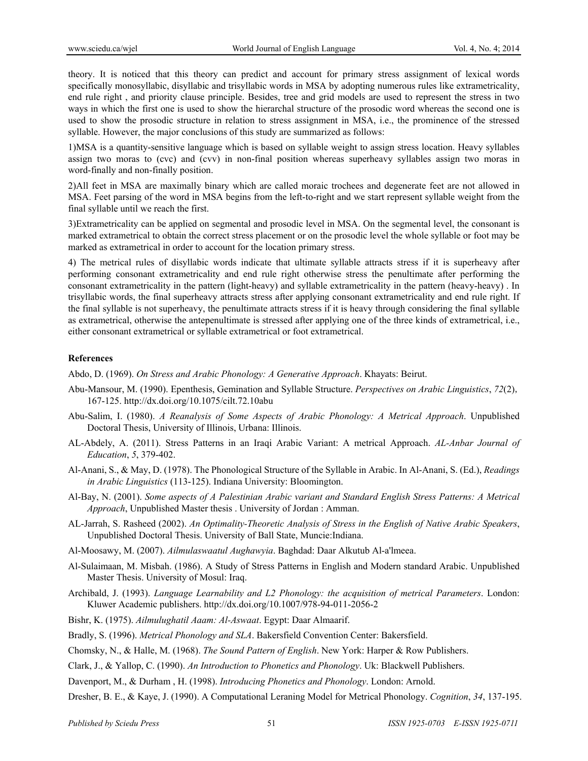theory. It is noticed that this theory can predict and account for primary stress assignment of lexical words specifically monosyllabic, disyllabic and trisyllabic words in MSA by adopting numerous rules like extrametricality, end rule right , and priority clause principle. Besides, tree and grid models are used to represent the stress in two ways in which the first one is used to show the hierarchal structure of the prosodic word whereas the second one is used to show the prosodic structure in relation to stress assignment in MSA, i.e., the prominence of the stressed syllable. However, the major conclusions of this study are summarized as follows:

1)MSA is a quantity-sensitive language which is based on syllable weight to assign stress location. Heavy syllables assign two moras to (cvc) and (cvv) in non-final position whereas superheavy syllables assign two moras in word-finally and non-finally position.

2)All feet in MSA are maximally binary which are called moraic trochees and degenerate feet are not allowed in MSA. Feet parsing of the word in MSA begins from the left-to-right and we start represent syllable weight from the final syllable until we reach the first.

3)Extrametricality can be applied on segmental and prosodic level in MSA. On the segmental level, the consonant is marked extrametrical to obtain the correct stress placement or on the prosodic level the whole syllable or foot may be marked as extrametrical in order to account for the location primary stress.

4) The metrical rules of disyllabic words indicate that ultimate syllable attracts stress if it is superheavy after performing consonant extrametricality and end rule right otherwise stress the penultimate after performing the consonant extrametricality in the pattern (light-heavy) and syllable extrametricality in the pattern (heavy-heavy) . In trisyllabic words, the final superheavy attracts stress after applying consonant extrametricality and end rule right. If the final syllable is not superheavy, the penultimate attracts stress if it is heavy through considering the final syllable as extrametrical, otherwise the antepenultimate is stressed after applying one of the three kinds of extrametrical, i.e., either consonant extrametrical or syllable extrametrical or foot extrametrical.

# **References**

Abdo, D. (1969). *On Stress and Arabic Phonology: A Generative Approach*. Khayats: Beirut.

- Abu-Mansour, M. (1990). Epenthesis, Gemination and Syllable Structure. *Perspectives on Arabic Linguistics*, *72*(2), 167-125. http://dx.doi.org/10.1075/cilt.72.10abu
- Abu-Salim, I. (1980). *A Reanalysis of Some Aspects of Arabic Phonology: A Metrical Approach*. Unpublished Doctoral Thesis, University of Illinois, Urbana: Illinois.
- AL-Abdely, A. (2011). Stress Patterns in an Iraqi Arabic Variant: A metrical Approach. *AL-Anbar Journal of Education*, *5*, 379-402.
- Al-Anani, S., & May, D. (1978). The Phonological Structure of the Syllable in Arabic. In Al-Anani, S. (Ed.), *Readings in Arabic Linguistics* (113-125). Indiana University: Bloomington.
- Al-Bay, N. (2001). *Some aspects of A Palestinian Arabic variant and Standard English Stress Patterns: A Metrical Approach*, Unpublished Master thesis . University of Jordan : Amman.
- AL-Jarrah, S. Rasheed (2002). *An Optimality-Theoretic Analysis of Stress in the English of Native Arabic Speakers*, Unpublished Doctoral Thesis. University of Ball State, Muncie:Indiana.
- Al-Moosawy, M. (2007). *Ailmulaswaatul Aughawyia*. Baghdad: Daar Alkutub Al-a'lmeea.
- Al-Sulaimaan, M. Misbah. (1986). A Study of Stress Patterns in English and Modern standard Arabic. Unpublished Master Thesis. University of Mosul: Iraq.
- Archibald, J. (1993). *Language Learnability and L2 Phonology: the acquisition of metrical Parameters*. London: Kluwer Academic publishers. http://dx.doi.org/10.1007/978-94-011-2056-2
- Bishr, K. (1975). *Ailmulughatil Aaam: Al-Aswaat*. Egypt: Daar Almaarif.
- Bradly, S. (1996). *Metrical Phonology and SLA*. Bakersfield Convention Center: Bakersfield.

Chomsky, N., & Halle, M. (1968). *The Sound Pattern of English*. New York: Harper & Row Publishers.

Clark, J., & Yallop, C. (1990). *An Introduction to Phonetics and Phonology*. Uk: Blackwell Publishers.

Davenport, M., & Durham , H. (1998). *Introducing Phonetics and Phonology*. London: Arnold.

Dresher, B. E., & Kaye, J. (1990). A Computational Leraning Model for Metrical Phonology. *Cognition*, *34*, 137-195.